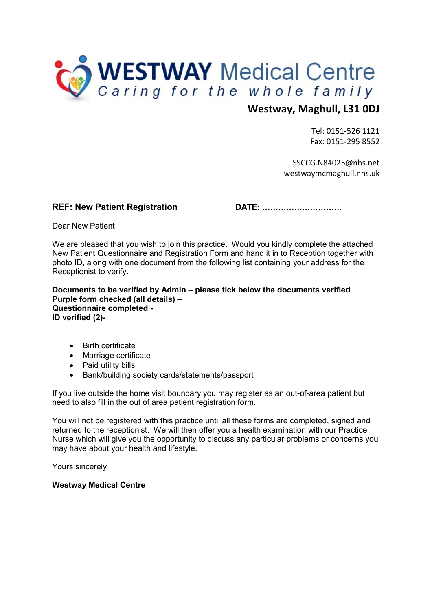

## Westway, Maghull, L31 0DJ

 Tel: 0151-526 1121 Fax: 0151-295 8552

 SSCCG.N84025@nhs.net westwaymcmaghull.nhs.uk

#### REF: New Patient Registration DATE: …………………………

Dear New Patient

We are pleased that you wish to join this practice. Would you kindly complete the attached New Patient Questionnaire and Registration Form and hand it in to Reception together with photo ID, along with one document from the following list containing your address for the Receptionist to verify.

Documents to be verified by Admin – please tick below the documents verified Purple form checked (all details) – Questionnaire completed - ID verified (2)-

- Birth certificate
- Marriage certificate
- Paid utility bills
- Bank/building society cards/statements/passport

If you live outside the home visit boundary you may register as an out-of-area patient but need to also fill in the out of area patient registration form.

You will not be registered with this practice until all these forms are completed, signed and returned to the receptionist. We will then offer you a health examination with our Practice Nurse which will give you the opportunity to discuss any particular problems or concerns you may have about your health and lifestyle.

Yours sincerely

#### Westway Medical Centre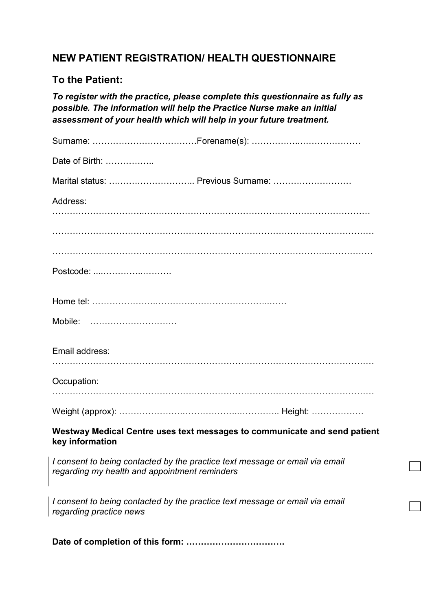## NEW PATIENT REGISTRATION/ HEALTH QUESTIONNAIRE

## To the Patient:

To register with the practice, please complete this questionnaire as fully as possible. The information will help the Practice Nurse make an initial assessment of your health which will help in your future treatment.

| Date of Birth:                                                                                                                |
|-------------------------------------------------------------------------------------------------------------------------------|
| Marital status:  Previous Surname:                                                                                            |
| Address:                                                                                                                      |
|                                                                                                                               |
|                                                                                                                               |
|                                                                                                                               |
| Postcode:                                                                                                                     |
|                                                                                                                               |
| Mobile:                                                                                                                       |
| Email address:                                                                                                                |
| Occupation:                                                                                                                   |
|                                                                                                                               |
| Westway Medical Centre uses text messages to communicate and send patient<br>key information                                  |
| I consent to being contacted by the practice text message or email via email<br>regarding my health and appointment reminders |
| I consent to being contacted by the practice text message or email via email<br>regarding practice news                       |

Date of completion of this form: …………………………….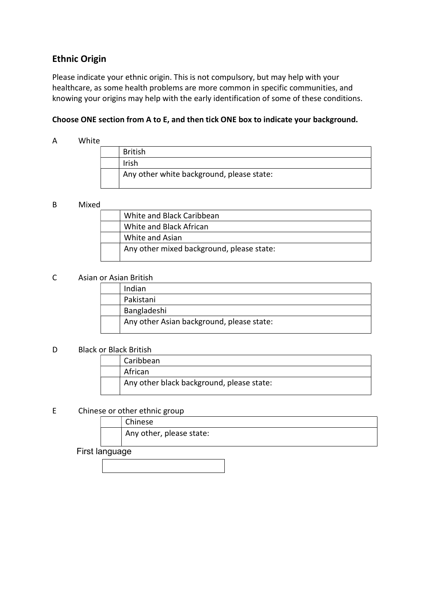## Ethnic Origin

Please indicate your ethnic origin. This is not compulsory, but may help with your healthcare, as some health problems are more common in specific communities, and knowing your origins may help with the early identification of some of these conditions.

#### Choose ONE section from A to E, and then tick ONE box to indicate your background.

#### A White

|  | <b>British</b>                            |
|--|-------------------------------------------|
|  | Irish                                     |
|  | Any other white background, please state: |

#### B Mixed

| White and Black Caribbean                 |
|-------------------------------------------|
| White and Black African                   |
| White and Asian                           |
| Any other mixed background, please state: |

#### C Asian or Asian British

| Indian                                    |
|-------------------------------------------|
| Pakistani                                 |
| Bangladeshi                               |
| Any other Asian background, please state: |

#### D Black or Black British

| Caribbean                                 |
|-------------------------------------------|
| African                                   |
| Any other black background, please state: |

#### E Chinese or other ethnic group

| Chinese                  |
|--------------------------|
| Any other, please state: |

#### First language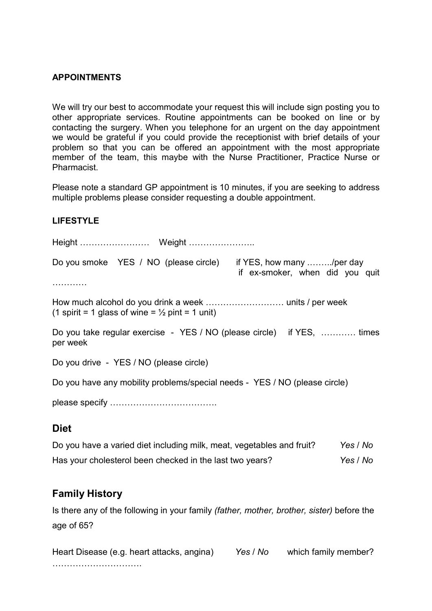#### APPOINTMENTS

We will try our best to accommodate your request this will include sign posting you to other appropriate services. Routine appointments can be booked on line or by contacting the surgery. When you telephone for an urgent on the day appointment we would be grateful if you could provide the receptionist with brief details of your problem so that you can be offered an appointment with the most appropriate member of the team, this maybe with the Nurse Practitioner, Practice Nurse or Pharmacist.

Please note a standard GP appointment is 10 minutes, if you are seeking to address multiple problems please consider requesting a double appointment.

#### LIFESTYLE

|                                                                                    | Do you smoke YES / NO (please circle) |  | if YES, how many /per day<br>if ex-smoker, when did you quit |  |  |  |  |  |  |
|------------------------------------------------------------------------------------|---------------------------------------|--|--------------------------------------------------------------|--|--|--|--|--|--|
|                                                                                    |                                       |  |                                                              |  |  |  |  |  |  |
| (1 spirit = 1 glass of wine = $\frac{1}{2}$ pint = 1 unit)                         |                                       |  |                                                              |  |  |  |  |  |  |
| Do you take regular exercise - YES / NO (please circle) if YES,  times<br>per week |                                       |  |                                                              |  |  |  |  |  |  |
| Do you drive - YES / NO (please circle)                                            |                                       |  |                                                              |  |  |  |  |  |  |
| Do you have any mobility problems/special needs - YES / NO (please circle)         |                                       |  |                                                              |  |  |  |  |  |  |
|                                                                                    |                                       |  |                                                              |  |  |  |  |  |  |
|                                                                                    |                                       |  |                                                              |  |  |  |  |  |  |

### **Diet**

| Do you have a varied diet including milk, meat, vegetables and fruit? | Yes / No |
|-----------------------------------------------------------------------|----------|
| Has your cholesterol been checked in the last two years?              | Yes / No |

### Family History

Is there any of the following in your family (father, mother, brother, sister) before the age of 65?

Heart Disease (e.g. heart attacks, angina) Yes / No which family member? ………………………….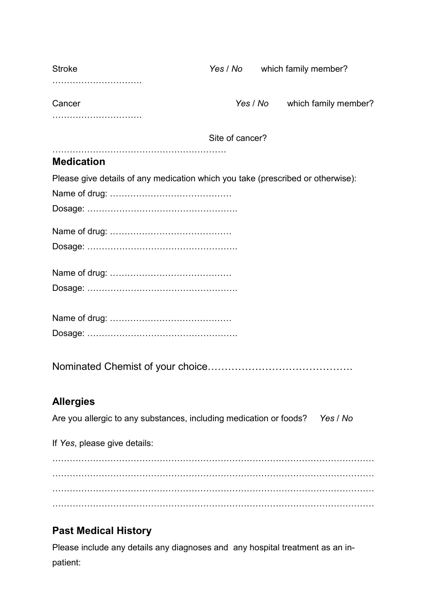| <b>Stroke</b>                                                                   |                 | Yes / No which family member?    |
|---------------------------------------------------------------------------------|-----------------|----------------------------------|
|                                                                                 |                 |                                  |
| Cancer                                                                          |                 | Yes / No<br>which family member? |
|                                                                                 |                 |                                  |
|                                                                                 | Site of cancer? |                                  |
| <b>Medication</b>                                                               |                 |                                  |
| Please give details of any medication which you take (prescribed or otherwise): |                 |                                  |
|                                                                                 |                 |                                  |
|                                                                                 |                 |                                  |
|                                                                                 |                 |                                  |
|                                                                                 |                 |                                  |
| <b>Allergies</b>                                                                |                 |                                  |
| Are you allergic to any substances, including medication or foods? Yes / No     |                 |                                  |
| If Yes, please give details:                                                    |                 |                                  |
|                                                                                 |                 |                                  |
|                                                                                 |                 |                                  |
|                                                                                 |                 |                                  |
|                                                                                 |                 |                                  |

# Past Medical History

Please include any details any diagnoses and any hospital treatment as an inpatient: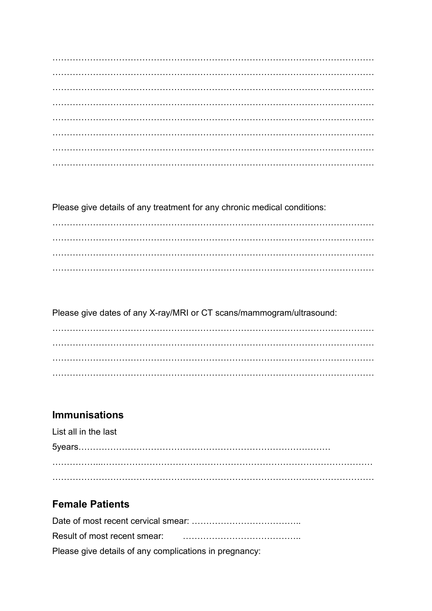Please give details of any treatment for any chronic medical conditions:

Please give dates of any X-ray/MRI or CT scans/mammogram/ultrasound:

## **Immunisations**

| List all in the last |  |
|----------------------|--|
|                      |  |
|                      |  |
|                      |  |

## **Female Patients**

| Please give details of any complications in pregnancy: |
|--------------------------------------------------------|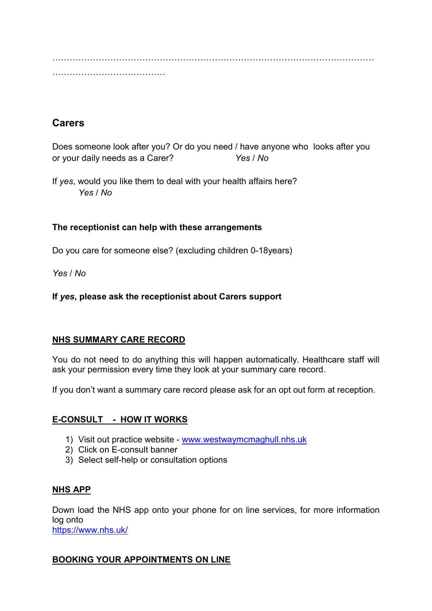………………………………………………………………………………………………… …………………………………

## **Carers**

Does someone look after you? Or do you need / have anyone who looks after you or your daily needs as a Carer? Yes / No

If yes, would you like them to deal with your health affairs here? Yes / No

## The receptionist can help with these arrangements

Do you care for someone else? (excluding children 0-18years)

Yes / No

## If yes, please ask the receptionist about Carers support

### NHS SUMMARY CARE RECORD

You do not need to do anything this will happen automatically. Healthcare staff will ask your permission every time they look at your summary care record.

If you don't want a summary care record please ask for an opt out form at reception.

## E-CONSULT - HOW IT WORKS

- 1) Visit out practice website www.westwaymcmaghull.nhs.uk
- 2) Click on E-consult banner
- 3) Select self-help or consultation options

### NHS APP

Down load the NHS app onto your phone for on line services, for more information log onto https://www.nhs.uk/

### BOOKING YOUR APPOINTMENTS ON LINE